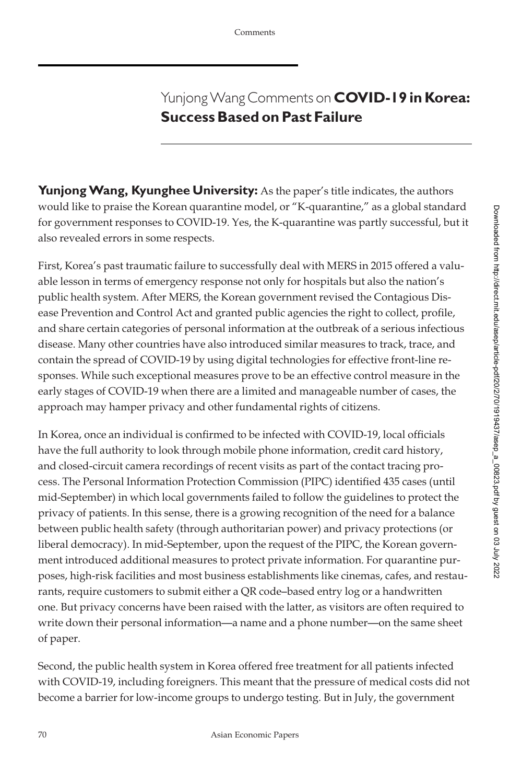## YunjongWang Comments on **COVID-19 in Korea: Success Based on Past Failure**

Yunjong Wang, Kyunghee University: As the paper's title indicates, the authors would like to praise the Korean quarantine model, or "K-quarantine," as a global standard for government responses to COVID-19. Yes, the K-quarantine was partly successful, but it also revealed errors in some respects.

First, Korea's past traumatic failure to successfully deal with MERS in 2015 offered a valuable lesson in terms of emergency response not only for hospitals but also the nation's public health system. After MERS, the Korean government revised the Contagious Disease Prevention and Control Act and granted public agencies the right to collect, profile, and share certain categories of personal information at the outbreak of a serious infectious disease. Many other countries have also introduced similar measures to track, trace, and contain the spread of COVID-19 by using digital technologies for effective front-line responses. While such exceptional measures prove to be an effective control measure in the early stages of COVID-19 when there are a limited and manageable number of cases, the approach may hamper privacy and other fundamental rights of citizens.

In Korea, once an individual is confirmed to be infected with COVID-19, local officials have the full authority to look through mobile phone information, credit card history, and closed-circuit camera recordings of recent visits as part of the contact tracing process. The Personal Information Protection Commission (PIPC) identified 435 cases (until mid-September) in which local governments failed to follow the guidelines to protect the privacy of patients. In this sense, there is a growing recognition of the need for a balance between public health safety (through authoritarian power) and privacy protections (or liberal democracy). In mid-September, upon the request of the PIPC, the Korean government introduced additional measures to protect private information. For quarantine purposes, high-risk facilities and most business establishments like cinemas, cafes, and restaurants, require customers to submit either a QR code–based entry log or a handwritten one. But privacy concerns have been raised with the latter, as visitors are often required to write down their personal information—a name and a phone number—on the same sheet of paper.

Second, the public health system in Korea offered free treatment for all patients infected with COVID-19, including foreigners. This meant that the pressure of medical costs did not become a barrier for low-income groups to undergo testing. But in July, the government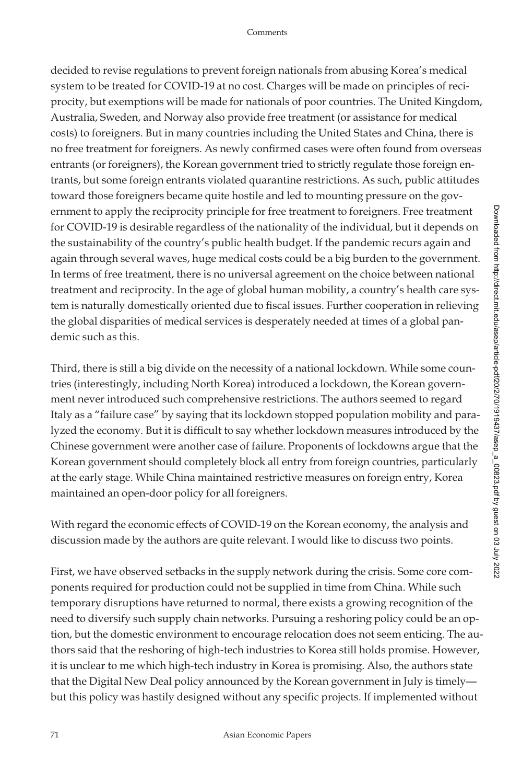decided to revise regulations to prevent foreign nationals from abusing Korea's medical system to be treated for COVID-19 at no cost. Charges will be made on principles of reciprocity, but exemptions will be made for nationals of poor countries. The United Kingdom, Australia, Sweden, and Norway also provide free treatment (or assistance for medical costs) to foreigners. But in many countries including the United States and China, there is no free treatment for foreigners. As newly confirmed cases were often found from overseas entrants (or foreigners), the Korean government tried to strictly regulate those foreign entrants, but some foreign entrants violated quarantine restrictions. As such, public attitudes toward those foreigners became quite hostile and led to mounting pressure on the government to apply the reciprocity principle for free treatment to foreigners. Free treatment for COVID-19 is desirable regardless of the nationality of the individual, but it depends on the sustainability of the country's public health budget. If the pandemic recurs again and again through several waves, huge medical costs could be a big burden to the government. In terms of free treatment, there is no universal agreement on the choice between national treatment and reciprocity. In the age of global human mobility, a country's health care system is naturally domestically oriented due to fiscal issues. Further cooperation in relieving the global disparities of medical services is desperately needed at times of a global pandemic such as this.

Third, there is still a big divide on the necessity of a national lockdown. While some countries (interestingly, including North Korea) introduced a lockdown, the Korean government never introduced such comprehensive restrictions. The authors seemed to regard Italy as a "failure case" by saying that its lockdown stopped population mobility and paralyzed the economy. But it is difficult to say whether lockdown measures introduced by the Chinese government were another case of failure. Proponents of lockdowns argue that the Korean government should completely block all entry from foreign countries, particularly at the early stage. While China maintained restrictive measures on foreign entry, Korea maintained an open-door policy for all foreigners.

With regard the economic effects of COVID-19 on the Korean economy, the analysis and discussion made by the authors are quite relevant. I would like to discuss two points.

First, we have observed setbacks in the supply network during the crisis. Some core components required for production could not be supplied in time from China. While such temporary disruptions have returned to normal, there exists a growing recognition of the need to diversify such supply chain networks. Pursuing a reshoring policy could be an option, but the domestic environment to encourage relocation does not seem enticing. The authors said that the reshoring of high-tech industries to Korea still holds promise. However, it is unclear to me which high-tech industry in Korea is promising. Also, the authors state that the Digital New Deal policy announced by the Korean government in July is timely but this policy was hastily designed without any specific projects. If implemented without